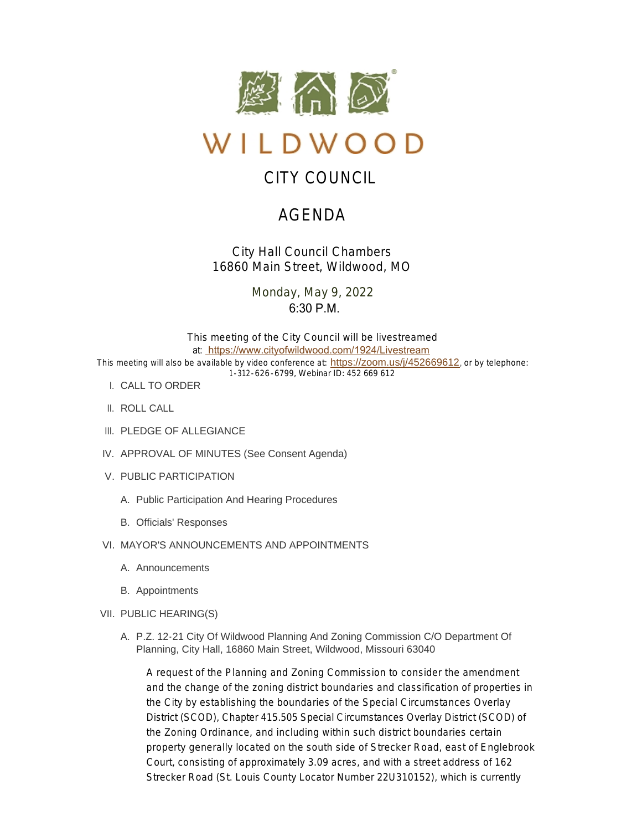

# WILDWOOD

# CITY COUNCIL

# AGENDA

*City Hall Council Chambers 16860 Main Street, Wildwood, MO*

> Monday, May 9, 2022  $6:30 \text{ P.M.}$

This meeting of the City Council will be livestreamed at: [https://www.cityofwildwood.com/1924/Livestream](https://www.cityofwildwood.com/Admin/AgendaCenter/Agenda/Edit/%20https://www.cityofwildwood.com/1924/Livestream) This meeting will also be available by video conference at: <https://zoom.us/j/452669612>, or by telephone: 1-312-626-6799, Webinar ID: 452 669 612

- CALL TO ORDER I.
- II. ROLL CALL
- III. PLEDGE OF ALLEGIANCE
- IV. APPROVAL OF MINUTES (See Consent Agenda)
- V. PUBLIC PARTICIPATION
	- A. Public Participation And Hearing Procedures
	- B. Officials' Responses
- VI. MAYOR'S ANNOUNCEMENTS AND APPOINTMENTS
	- A. Announcements
	- B. Appointments
- VII. PUBLIC HEARING(S)
	- A. P.Z. 12-21 City Of Wildwood Planning And Zoning Commission C/O Department Of Planning, City Hall, 16860 Main Street, Wildwood, Missouri 63040

A request of the Planning and Zoning Commission to consider the amendment and the change of the zoning district boundaries and classification of properties in the City by establishing the boundaries of the Special Circumstances Overlay District (SCOD), Chapter 415.505 Special Circumstances Overlay District (SCOD) of the Zoning Ordinance, and including within such district boundaries certain property generally located on the south side of Strecker Road, east of Englebrook Court, consisting of approximately 3.09 acres, and with a street address of 162 Strecker Road (St. Louis County Locator Number 22U310152), which is currently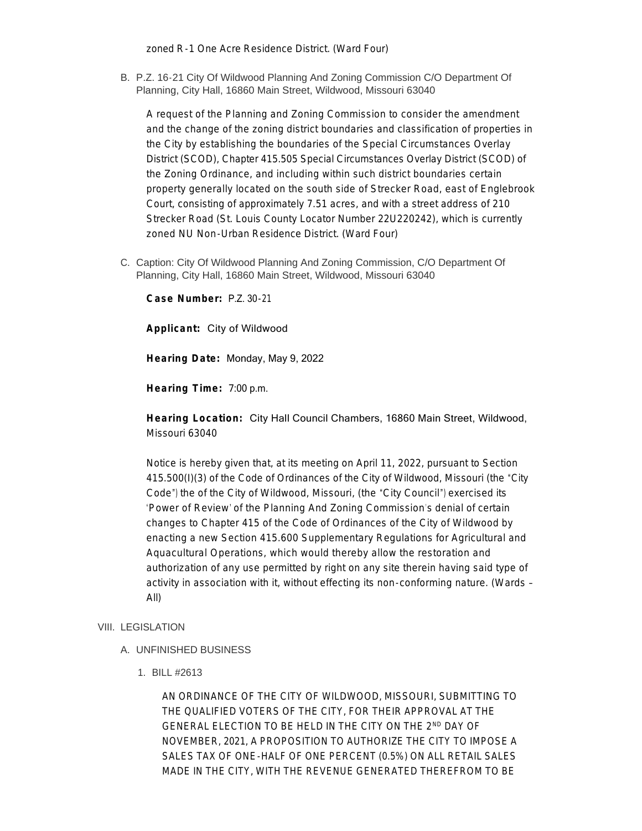zoned R-1 One Acre Residence District. (Ward Four)

B. P.Z. 16-21 City Of Wildwood Planning And Zoning Commission C/O Department Of Planning, City Hall, 16860 Main Street, Wildwood, Missouri 63040

A request of the Planning and Zoning Commission to consider the amendment and the change of the zoning district boundaries and classification of properties in the City by establishing the boundaries of the Special Circumstances Overlay District (SCOD), Chapter 415.505 Special Circumstances Overlay District (SCOD) of the Zoning Ordinance, and including within such district boundaries certain property generally located on the south side of Strecker Road, east of Englebrook Court, consisting of approximately 7.51 acres, and with a street address of 210 Strecker Road (St. Louis County Locator Number 22U220242), which is currently zoned NU Non-Urban Residence District. (Ward Four)

C. Caption: City Of Wildwood Planning And Zoning Commission, C/O Department Of Planning, City Hall, 16860 Main Street, Wildwood, Missouri 63040

**Case Number:** P.Z. 30-21

**Applicant:** City of Wildwood

**Hearing Date:** Monday, May 9, 2022

**Hearing Time:** 7:00 p.m.

**Hearing Location:** City Hall Council Chambers, 16860 Main Street, Wildwood, Missouri 63040

Notice is hereby given that, at its meeting on April 11, 2022, pursuant to Section 415.500(I)(3) of the Code of Ordinances of the City of Wildwood, Missouri (the "City Code") the of the City of Wildwood, Missouri, (the "City Council") exercised its 'Power of Review' of the Planning And Zoning Commission's denial of certain changes to Chapter 415 of the Code of Ordinances of the City of Wildwood by enacting a new Section 415.600 Supplementary Regulations for Agricultural and Aquacultural Operations, which would thereby allow the restoration and authorization of any use permitted by right on any site therein having said type of activity in association with it, without effecting its non-conforming nature. (Wards – All)

# VIII. LEGISLATION

- UNFINISHED BUSINESS A.
	- BILL #2613 1.

AN ORDINANCE OF THE CITY OF WILDWOOD, MISSOURI, SUBMITTING TO THE QUALIFIED VOTERS OF THE CITY, FOR THEIR APPROVAL AT THE GENERAL ELECTION TO BE HELD IN THE CITY ON THE 2ND DAY OF NOVEMBER, 2021, A PROPOSITION TO AUTHORIZE THE CITY TO IMPOSE A SALES TAX OF ONE-HALF OF ONE PERCENT (0.5%) ON ALL RETAIL SALES MADE IN THE CITY, WITH THE REVENUE GENERATED THEREFROM TO BE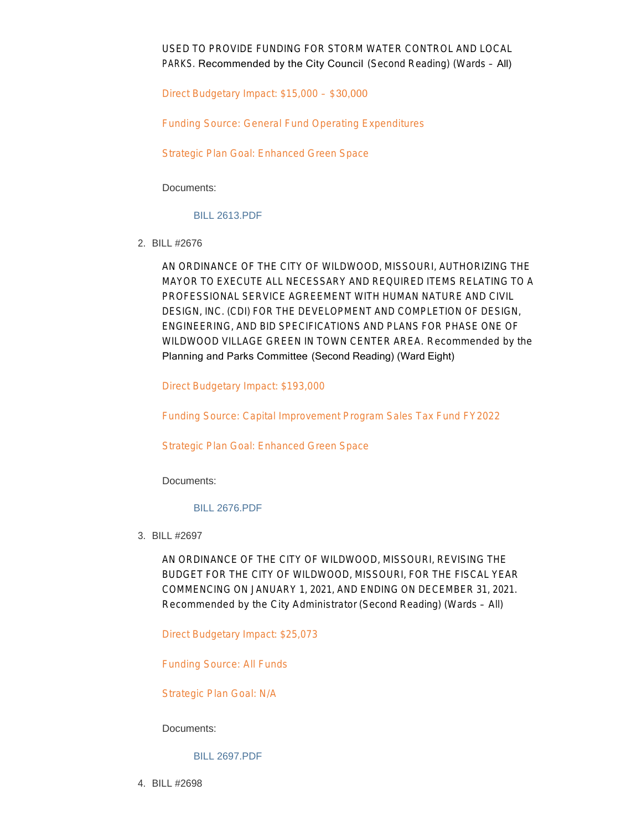USED TO PROVIDE FUNDING FOR STORM WATER CONTROL AND LOCAL PARKS. Recommended by the City Council (Second Reading) (Wards – All)

Direct Budgetary Impact: \$15,000 – \$30,000

Funding Source: General Fund Operating Expenditures

Strategic Plan Goal: Enhanced Green Space

Documents:

# [BILL 2613.PDF](https://www.cityofwildwood.com/AgendaCenter/ViewFile/Item/32593?fileID=34482)

BILL #2676 2.

AN ORDINANCE OF THE CITY OF WILDWOOD, MISSOURI, AUTHORIZING THE MAYOR TO EXECUTE ALL NECESSARY AND REQUIRED ITEMS RELATING TO A PROFESSIONAL SERVICE AGREEMENT WITH HUMAN NATURE AND CIVIL DESIGN, INC. (CDI) FOR THE DEVELOPMENT AND COMPLETION OF DESIGN, ENGINEERING, AND BID SPECIFICATIONS AND PLANS FOR PHASE ONE OF WILDWOOD VILLAGE GREEN IN TOWN CENTER AREA. *Recommended by the*  Planning and Parks Committee (Second Reading) (Ward Eight)

Direct Budgetary Impact: \$193,000

Funding Source: Capital Improvement Program Sales Tax Fund FY2022

Strategic Plan Goal: Enhanced Green Space

Documents:

# [BILL 2676.PDF](https://www.cityofwildwood.com/AgendaCenter/ViewFile/Item/32594?fileID=34483)

BILL #2697 3.

AN ORDINANCE OF THE CITY OF WILDWOOD, MISSOURI, REVISING THE BUDGET FOR THE CITY OF WILDWOOD, MISSOURI, FOR THE FISCAL YEAR COMMENCING ON JANUARY 1, 2021, AND ENDING ON DECEMBER 31, 2021. *Recommended by the City Administrator* (Second Reading) (Wards – All)

Direct Budgetary Impact: \$25,073

Funding Source: All Funds

Strategic Plan Goal: N/A

#### Documents:

[BILL 2697.PDF](https://www.cityofwildwood.com/AgendaCenter/ViewFile/Item/32595?fileID=34484)

BILL #2698 4.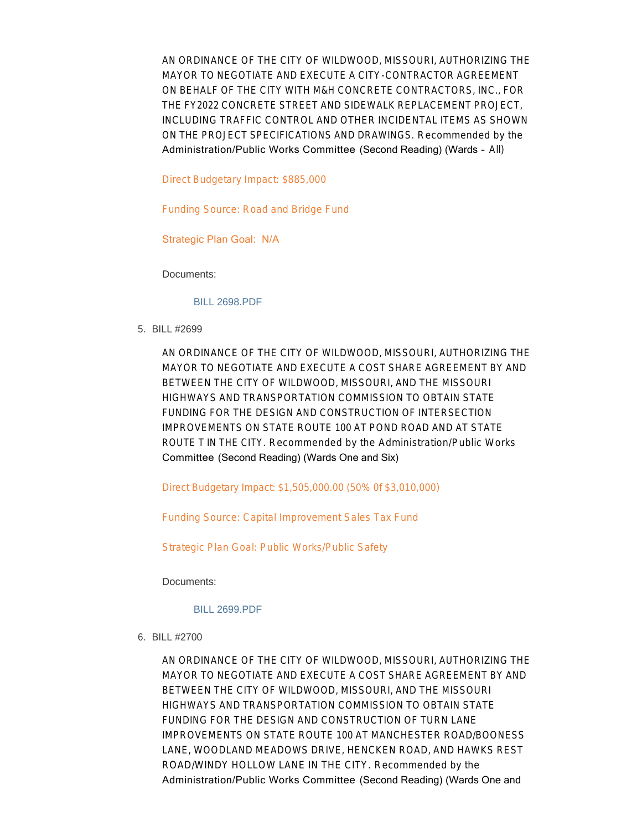AN ORDINANCE OF THE CITY OF WILDWOOD, MISSOURI, AUTHORIZING THE MAYOR TO NEGOTIATE AND EXECUTE A CITY-CONTRACTOR AGREEMENT ON BEHALF OF THE CITY WITH M&H CONCRETE CONTRACTORS, INC., FOR THE FY2022 CONCRETE STREET AND SIDEWALK REPLACEMENT PROJECT, INCLUDING TRAFFIC CONTROL AND OTHER INCIDENTAL ITEMS AS SHOWN ON THE PROJECT SPECIFICATIONS AND DRAWINGS. *Recommended by the*  Administration/Public Works Committee (Second Reading) (Wards – All)

Direct Budgetary Impact: \$885,000

Funding Source: Road and Bridge Fund

Strategic Plan Goal: N/A

Documents:

#### [BILL 2698.PDF](https://www.cityofwildwood.com/AgendaCenter/ViewFile/Item/32596?fileID=34485)

BILL #2699 5.

AN ORDINANCE OF THE CITY OF WILDWOOD, MISSOURI, AUTHORIZING THE MAYOR TO NEGOTIATE AND EXECUTE A COST SHARE AGREEMENT BY AND BETWEEN THE CITY OF WILDWOOD, MISSOURI, AND THE MISSOURI HIGHWAYS AND TRANSPORTATION COMMISSION TO OBTAIN STATE FUNDING FOR THE DESIGN AND CONSTRUCTION OF INTERSECTION IMPROVEMENTS ON STATE ROUTE 100 AT POND ROAD AND AT STATE ROUTE T IN THE CITY. *Recommended by the Administration/Public Works*  Committee (Second Reading) (Wards One and Six)

Direct Budgetary Impact: \$1,505,000.00 (50% 0f \$3,010,000)

Funding Source: Capital Improvement Sales Tax Fund

Strategic Plan Goal: Public Works/Public Safety

Documents:

#### [BILL 2699.PDF](https://www.cityofwildwood.com/AgendaCenter/ViewFile/Item/32597?fileID=34486)

BILL #2700 6.

AN ORDINANCE OF THE CITY OF WILDWOOD, MISSOURI, AUTHORIZING THE MAYOR TO NEGOTIATE AND EXECUTE A COST SHARE AGREEMENT BY AND BETWEEN THE CITY OF WILDWOOD, MISSOURI, AND THE MISSOURI HIGHWAYS AND TRANSPORTATION COMMISSION TO OBTAIN STATE FUNDING FOR THE DESIGN AND CONSTRUCTION OF TURN LANE IMPROVEMENTS ON STATE ROUTE 100 AT MANCHESTER ROAD/BOONESS LANE, WOODLAND MEADOWS DRIVE, HENCKEN ROAD, AND HAWKS REST ROAD/WINDY HOLLOW LANE IN THE CITY. *Recommended by the*  Administration/Public Works Committee (Second Reading) (Wards One and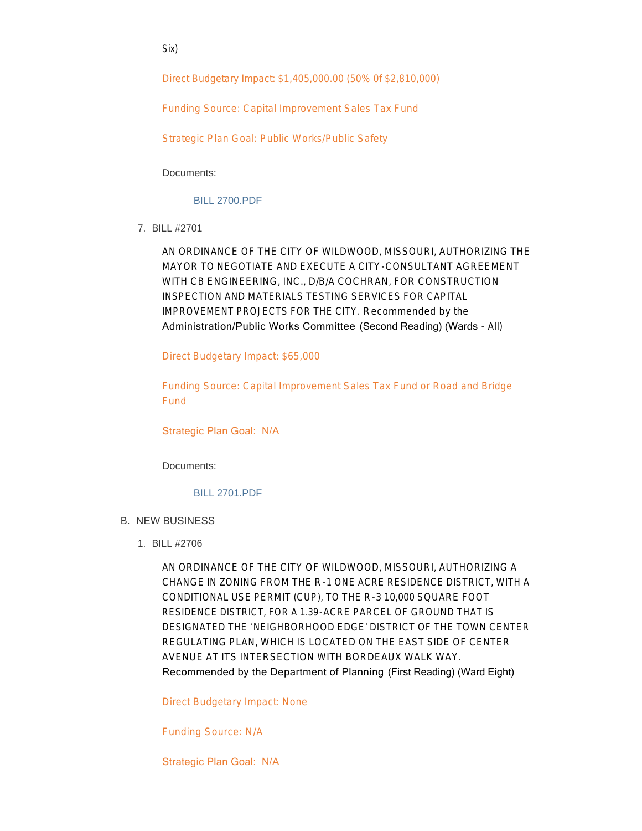Six)

Direct Budgetary Impact: \$1,405,000.00 (50% 0f \$2,810,000)

Funding Source: Capital Improvement Sales Tax Fund

Strategic Plan Goal: Public Works/Public Safety

Documents:

[BILL 2700.PDF](https://www.cityofwildwood.com/AgendaCenter/ViewFile/Item/32598?fileID=34487)

BILL #2701 7.

AN ORDINANCE OF THE CITY OF WILDWOOD, MISSOURI, AUTHORIZING THE MAYOR TO NEGOTIATE AND EXECUTE A CITY-CONSULTANT AGREEMENT WITH CB ENGINEERING, INC., D/B/A COCHRAN, FOR CONSTRUCTION INSPECTION AND MATERIALS TESTING SERVICES FOR CAPITAL IMPROVEMENT PROJECTS FOR THE CITY. *Recommended by the*  Administration/Public Works Committee (Second Reading) (Wards - All)

Direct Budgetary Impact: \$65,000

Funding Source: Capital Improvement Sales Tax Fund or Road and Bridge Fund

Strategic Plan Goal: N/A

Documents:

# [BILL 2701.PDF](https://www.cityofwildwood.com/AgendaCenter/ViewFile/Item/32599?fileID=34488)

- **B. NEW BUSINESS** 
	- BILL #2706 1.

AN ORDINANCE OF THE CITY OF WILDWOOD, MISSOURI, AUTHORIZING A CHANGE IN ZONING FROM THE R-1 ONE ACRE RESIDENCE DISTRICT, WITH A CONDITIONAL USE PERMIT (CUP), TO THE R-3 10,000 SQUARE FOOT RESIDENCE DISTRICT, FOR A 1.39-ACRE PARCEL OF GROUND THAT IS DESIGNATED THE 'NEIGHBORHOOD EDGE' DISTRICT OF THE TOWN CENTER REGULATING PLAN, WHICH IS LOCATED ON THE EAST SIDE OF CENTER AVENUE AT ITS INTERSECTION WITH BORDEAUX WALK WAY. Recommended by the Department of Planning (First Reading) (Ward Eight)

Direct Budgetary Impact: None

Funding Source: N/A

Strategic Plan Goal: N/A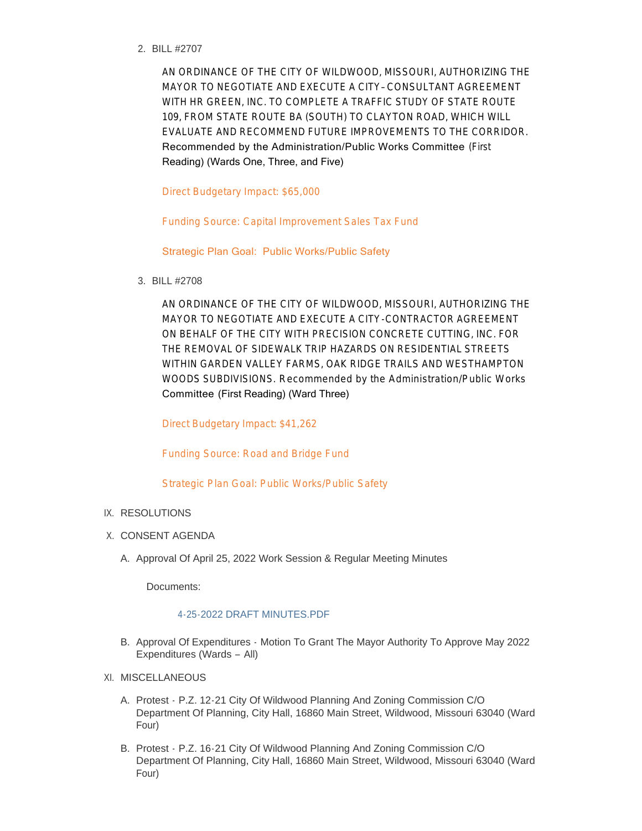BILL #2707 2.

AN ORDINANCE OF THE CITY OF WILDWOOD, MISSOURI, AUTHORIZING THE MAYOR TO NEGOTIATE AND EXECUTE A CITY– CONSULTANT AGREEMENT WITH HR GREEN, INC. TO COMPLETE A TRAFFIC STUDY OF STATE ROUTE 109, FROM STATE ROUTE BA (SOUTH) TO CLAYTON ROAD, WHICH WILL EVALUATE AND RECOMMEND FUTURE IMPROVEMENTS TO THE CORRIDOR. Recommended by the Administration/Public Works Committee (First Reading) (Wards One, Three, and Five)

Direct Budgetary Impact: \$65,000

Funding Source: Capital Improvement Sales Tax Fund

Strategic Plan Goal: Public Works/Public Safety

BILL #2708 3.

AN ORDINANCE OF THE CITY OF WILDWOOD, MISSOURI, AUTHORIZING THE MAYOR TO NEGOTIATE AND EXECUTE A CITY-CONTRACTOR AGREEMENT ON BEHALF OF THE CITY WITH PRECISION CONCRETE CUTTING, INC. FOR THE REMOVAL OF SIDEWALK TRIP HAZARDS ON RESIDENTIAL STREETS WITHIN GARDEN VALLEY FARMS, OAK RIDGE TRAILS AND WESTHAMPTON WOODS SUBDIVISIONS. *Recommended by the Administration/Public Works*  Committee (First Reading) (Ward Three)

Direct Budgetary Impact: \$41,262

Funding Source: Road and Bridge Fund

Strategic Plan Goal: Public Works/Public Safety

# IX. RESOLUTIONS

- X. CONSENT AGENDA
	- A. Approval Of April 25, 2022 Work Session & Regular Meeting Minutes

Documents:

# [4-25-2022 DRAFT MINUTES.PDF](https://www.cityofwildwood.com/AgendaCenter/ViewFile/Item/32589?fileID=34481)

B. Approval Of Expenditures - Motion To Grant The Mayor Authority To Approve May 2022 Expenditures (Wards – All)

# XI. MISCELLANEOUS

- A. Protest P.Z. 12-21 City Of Wildwood Planning And Zoning Commission C/O Department Of Planning, City Hall, 16860 Main Street, Wildwood, Missouri 63040 (Ward Four)
- B. Protest P.Z. 16-21 City Of Wildwood Planning And Zoning Commission C/O Department Of Planning, City Hall, 16860 Main Street, Wildwood, Missouri 63040 (Ward Four)